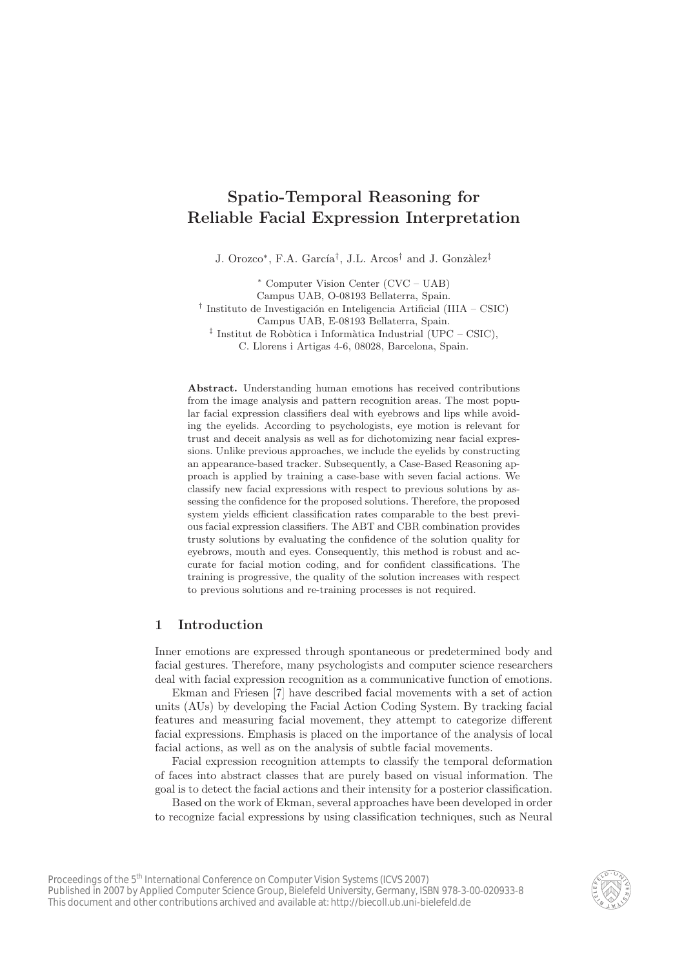# <span id="page-0-0"></span>Spatio-Temporal Reasoning for Reliable Facial Expression Interpretation

J. Orozco<sup>∗</sup>, F.A. García<sup>†</sup>, J.L. Arcos<sup>†</sup> and J. Gonzàlez<sup>‡</sup>

<sup>∗</sup> Computer Vision Center (CVC – UAB) Campus UAB, O-08193 Bellaterra, Spain. <sup>†</sup> Instituto de Investigación en Inteligencia Artificial (IIIA – CSIC) Campus UAB, E-08193 Bellaterra, Spain. <sup> $\ddagger$ </sup> Institut de Robòtica i Informàtica Industrial (UPC – CSIC), C. Llorens i Artigas 4-6, 08028, Barcelona, Spain.

Abstract. Understanding human emotions has received contributions from the image analysis and pattern recognition areas. The most popular facial expression classifiers deal with eyebrows and lips while avoiding the eyelids. According to psychologists, eye motion is relevant for trust and deceit analysis as well as for dichotomizing near facial expressions. Unlike previous approaches, we include the eyelids by constructing an appearance-based tracker. Subsequently, a Case-Based Reasoning approach is applied by training a case-base with seven facial actions. We classify new facial expressions with respect to previous solutions by assessing the confidence for the proposed solutions. Therefore, the proposed system yields efficient classification rates comparable to the best previous facial expression classifiers. The ABT and CBR combination provides trusty solutions by evaluating the confidence of the solution quality for eyebrows, mouth and eyes. Consequently, this method is robust and accurate for facial motion coding, and for confident classifications. The training is progressive, the quality of the solution increases with respect to previous solutions and re-training processes is not required.

# 1 Introduction

Inner emotions are expressed through spontaneous or predetermined body and facial gestures. Therefore, many psychologists and computer science researchers deal with facial expression recognition as a communicative function of emotions.

Ekman and Friesen [\[7\]](#page-9-0) have described facial movements with a set of action units (AUs) by developing the Facial Action Coding System. By tracking facial features and measuring facial movement, they attempt to categorize different facial expressions. Emphasis is placed on the importance of the analysis of local facial actions, as well as on the analysis of subtle facial movements.

Facial expression recognition attempts to classify the temporal deformation of faces into abstract classes that are purely based on visual information. The goal is to detect the facial actions and their intensity for a posterior classification.

Based on the work of Ekman, several approaches have been developed in order to recognize facial expressions by using classification techniques, such as Neural

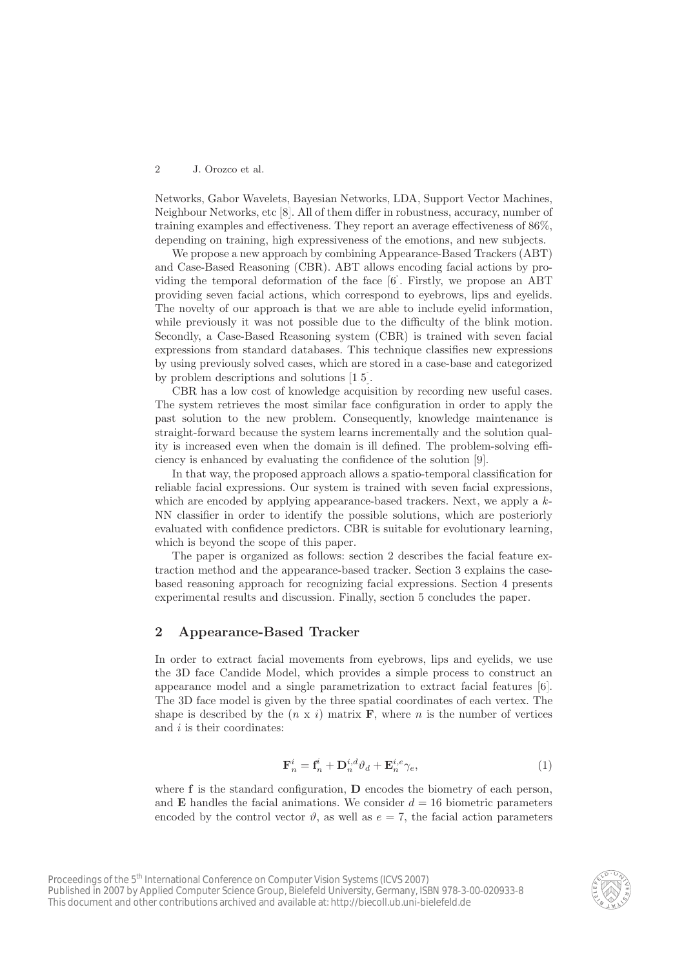<span id="page-1-0"></span>Networks, Gabor Wavelets, Bayesian Networks, LDA, Support Vector Machines, Neighbour Networks, etc [\[8\]](#page-9-1). All of them differ in robustness, accuracy, number of training examples and effectiveness. They report an average effectiveness of 86%, depending on training, high expressiveness of the emotions, and new subjects.

We propose a new approach by combining Appearance-Based Trackers (ABT) and Case-Based Reasoning (CBR). ABT allows encoding facial actions by providing the temporal deformation of the face [\[6\]](#page-9-2). Firstly, we propose an ABT providing seven facial actions, which correspond to eyebrows, lips and eyelids. The novelty of our approach is that we are able to include eyelid information, while previously it was not possible due to the difficulty of the blink motion. Secondly, a Case-Based Reasoning system (CBR) is trained with seven facial expressions from standard databases. This technique classifies new expressions by using previously solved cases, which are stored in a case-base and categorized by problem descriptions and solutions [\[1](#page-9-3)[,5\]](#page-9-4).

CBR has a low cost of knowledge acquisition by recording new useful cases. The system retrieves the most similar face configuration in order to apply the past solution to the new problem. Consequently, knowledge maintenance is straight-forward because the system learns incrementally and the solution quality is increased even when the domain is ill defined. The problem-solving efficiency is enhanced by evaluating the confidence of the solution [\[9\]](#page-9-5).

In that way, the proposed approach allows a spatio-temporal classification for reliable facial expressions. Our system is trained with seven facial expressions, which are encoded by applying appearance-based trackers. Next, we apply a  $k$ -NN classifier in order to identify the possible solutions, which are posteriorly evaluated with confidence predictors. CBR is suitable for evolutionary learning, which is beyond the scope of this paper.

The paper is organized as follows: section 2 describes the facial feature extraction method and the appearance-based tracker. Section 3 explains the casebased reasoning approach for recognizing facial expressions. Section 4 presents experimental results and discussion. Finally, section 5 concludes the paper.

# 2 Appearance-Based Tracker

In order to extract facial movements from eyebrows, lips and eyelids, we use the 3D face Candide Model, which provides a simple process to construct an appearance model and a single parametrization to extract facial features [\[6\]](#page-9-2). The 3D face model is given by the three spatial coordinates of each vertex. The shape is described by the  $(n \times i)$  matrix **F**, where n is the number of vertices and  $i$  is their coordinates:

$$
\mathbf{F}_n^i = \mathbf{f}_n^i + \mathbf{D}_n^{i,d} \vartheta_d + \mathbf{E}_n^{i,e} \gamma_e,\tag{1}
$$

where **f** is the standard configuration, **D** encodes the biometry of each person, and **E** handles the facial animations. We consider  $d = 16$  biometric parameters encoded by the control vector  $\vartheta$ , as well as  $e = 7$ , the facial action parameters

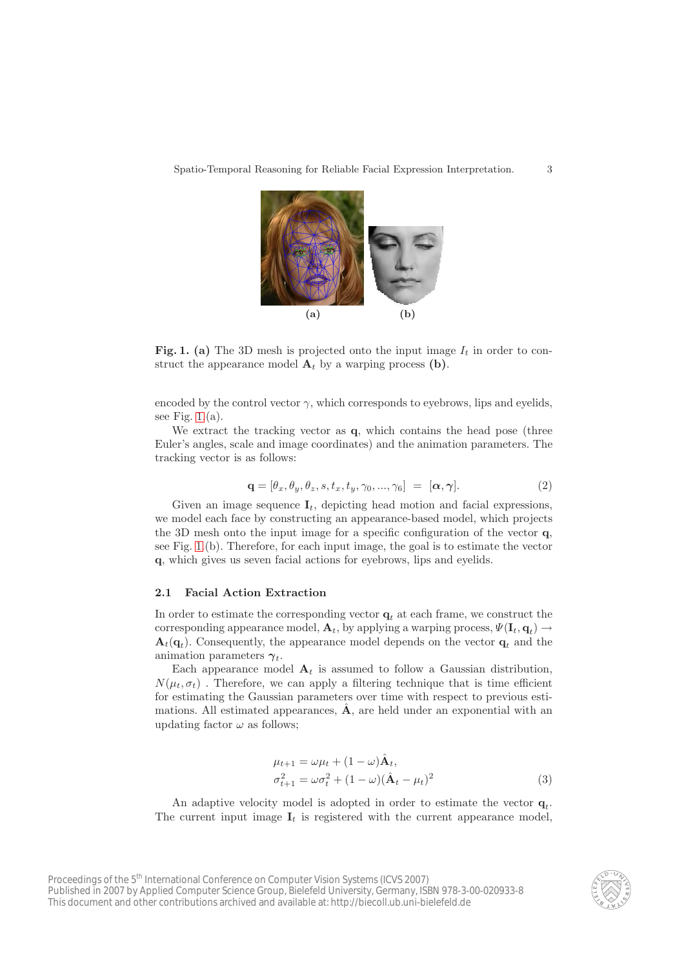

Fig. 1. (a) The 3D mesh is projected onto the input image  $I_t$  in order to construct the appearance model  $A_t$  by a warping process (b).

<span id="page-2-0"></span>encoded by the control vector  $\gamma$ , which corresponds to eyebrows, lips and eyelids, see Fig.  $1.(a)$ .

We extract the tracking vector as q, which contains the head pose (three Euler's angles, scale and image coordinates) and the animation parameters. The tracking vector is as follows:

$$
\mathbf{q} = [\theta_x, \theta_y, \theta_z, s, t_x, t_y, \gamma_0, ..., \gamma_6] = [\alpha, \gamma]. \tag{2}
$$

Given an image sequence  $I_t$ , depicting head motion and facial expressions, we model each face by constructing an appearance-based model, which projects the 3D mesh onto the input image for a specific configuration of the vector q, see Fig. [1.](#page-2-0)(b). Therefore, for each input image, the goal is to estimate the vector q, which gives us seven facial actions for eyebrows, lips and eyelids.

#### 2.1 Facial Action Extraction

In order to estimate the corresponding vector  $q_t$  at each frame, we construct the corresponding appearance model,  $\mathbf{A}_t$ , by applying a warping process,  $\Psi(\mathbf{I}_t, \mathbf{q}_t) \rightarrow$  $\mathbf{A}_t(\mathbf{q}_t)$ . Consequently, the appearance model depends on the vector  $\mathbf{q}_t$  and the animation parameters  $\gamma_t$ .

Each appearance model  $A_t$  is assumed to follow a Gaussian distribution,  $N(\mu_t, \sigma_t)$ . Therefore, we can apply a filtering technique that is time efficient for estimating the Gaussian parameters over time with respect to previous estimations. All estimated appearances,  $\hat{A}$ , are held under an exponential with an updating factor  $\omega$  as follows;

$$
\mu_{t+1} = \omega \mu_t + (1 - \omega) \hat{\mathbf{A}}_t,
$$
  
\n
$$
\sigma_{t+1}^2 = \omega \sigma_t^2 + (1 - \omega) (\hat{\mathbf{A}}_t - \mu_t)^2
$$
\n(3)

An adaptive velocity model is adopted in order to estimate the vector  $\mathbf{q}_t$ . The current input image  $I_t$  is registered with the current appearance model,

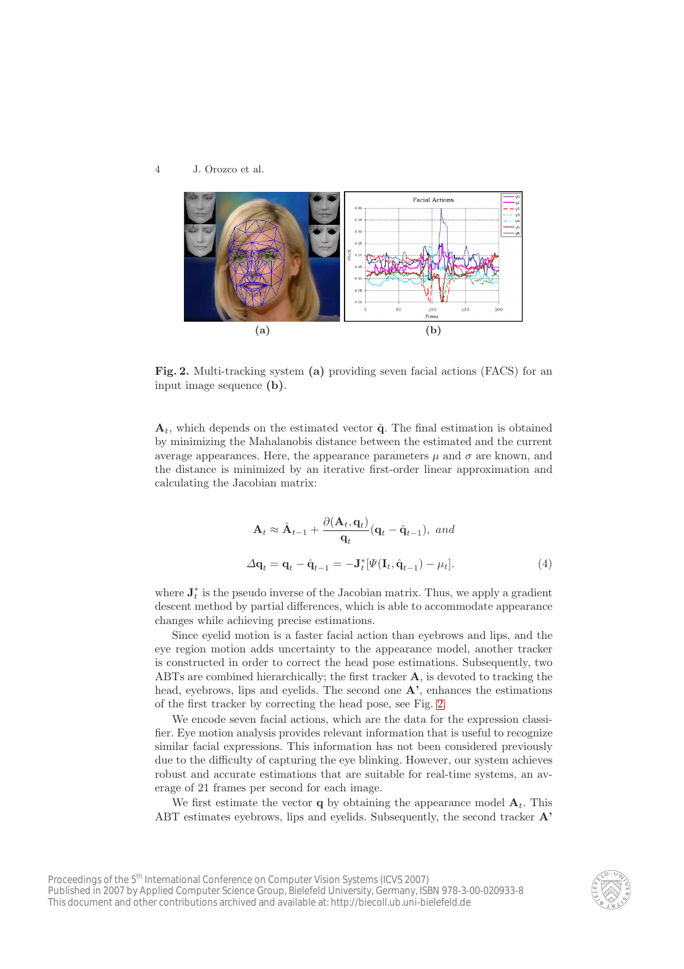

<span id="page-3-0"></span>Fig. 2. Multi-tracking system (a) providing seven facial actions (FACS) for an input image sequence (b).

 $A_t$ , which depends on the estimated vector  $\hat{q}$ . The final estimation is obtained by minimizing the Mahalanobis distance between the estimated and the current average appearances. Here, the appearance parameters  $\mu$  and  $\sigma$  are known, and the distance is minimized by an iterative first-order linear approximation and calculating the Jacobian matrix:

$$
\mathbf{A}_{t} \approx \hat{\mathbf{A}}_{t-1} + \frac{\partial(\mathbf{A}_{t}, \mathbf{q}_{t})}{\mathbf{q}_{t}} (\mathbf{q}_{t} - \hat{\mathbf{q}}_{t-1}), \text{ and}
$$
  

$$
\Delta \mathbf{q}_{t} = \mathbf{q}_{t} - \hat{\mathbf{q}}_{t-1} = -\mathbf{J}_{t}^{*} [\Psi(\mathbf{I}_{t}, \hat{\mathbf{q}}_{t-1}) - \mu_{t}].
$$
 (4)

where  $\mathbf{J}_t^*$  is the pseudo inverse of the Jacobian matrix. Thus, we apply a gradient descent method by partial differences, which is able to accommodate appearance changes while achieving precise estimations.

Since eyelid motion is a faster facial action than eyebrows and lips, and the eye region motion adds uncertainty to the appearance model, another tracker is constructed in order to correct the head pose estimations. Subsequently, two ABTs are combined hierarchically; the first tracker A, is devoted to tracking the head, eyebrows, lips and eyelids. The second one  $A'$ , enhances the estimations of the first tracker by correcting the head pose, see Fig. [2.](#page-3-0)

We encode seven facial actions, which are the data for the expression classifier. Eye motion analysis provides relevant information that is useful to recognize similar facial expressions. This information has not been considered previously due to the difficulty of capturing the eye blinking. However, our system achieves robust and accurate estimations that are suitable for real-time systems, an average of 21 frames per second for each image.

We first estimate the vector **q** by obtaining the appearance model  $A_t$ . This ABT estimates evebrows, lips and evelids. Subsequently, the second tracker  $\mathbf{A}$ '

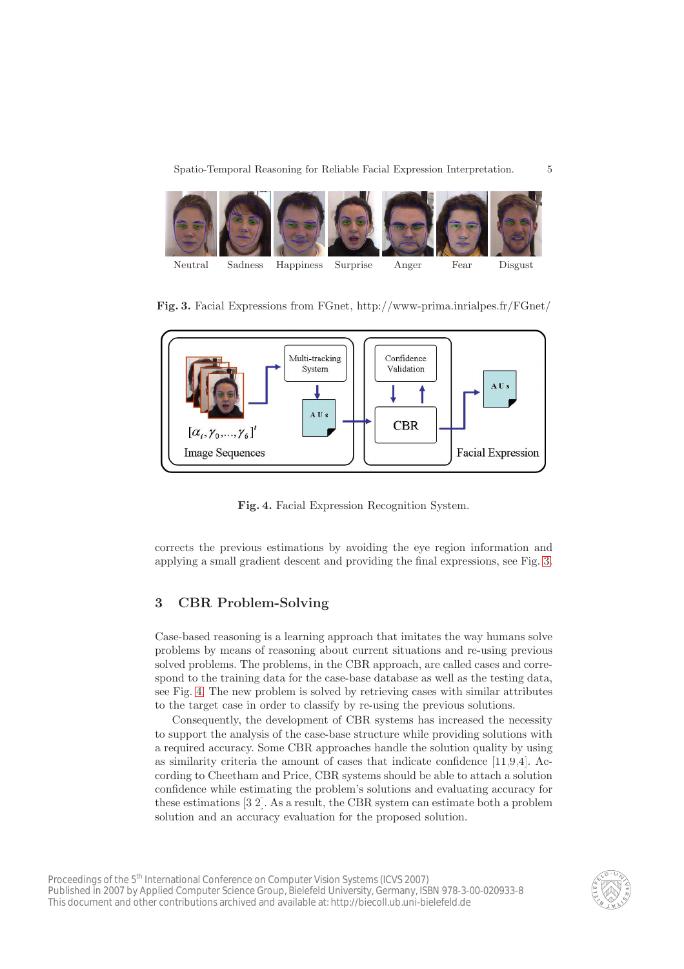Spatio-Temporal Reasoning for Reliable Facial Expression Interpretation.  $5$ 

<span id="page-4-2"></span>

Fig. 3. Facial Expressions from FGnet, http://www-prima.inrialpes.fr/FGnet/

<span id="page-4-0"></span>

<span id="page-4-1"></span>Fig. 4. Facial Expression Recognition System.

corrects the previous estimations by avoiding the eye region information and applying a small gradient descent and providing the final expressions, see Fig. [3.](#page-4-0)

# 3 CBR Problem-Solving

Case-based reasoning is a learning approach that imitates the way humans solve problems by means of reasoning about current situations and re-using previous solved problems. The problems, in the CBR approach, are called cases and correspond to the training data for the case-base database as well as the testing data, see Fig. [4.](#page-4-1) The new problem is solved by retrieving cases with similar attributes to the target case in order to classify by re-using the previous solutions.

Consequently, the development of CBR systems has increased the necessity to support the analysis of the case-base structure while providing solutions with a required accuracy. Some CBR approaches handle the solution quality by using as similarity criteria the amount of cases that indicate confidence [\[11](#page-9-6)[,9](#page-9-5)[,4\]](#page-9-7). According to Cheetham and Price, CBR systems should be able to attach a solution confidence while estimating the problem's solutions and evaluating accuracy for these estimations [\[3,](#page-9-8)[2\]](#page-9-9). As a result, the CBR system can estimate both a problem solution and an accuracy evaluation for the proposed solution.

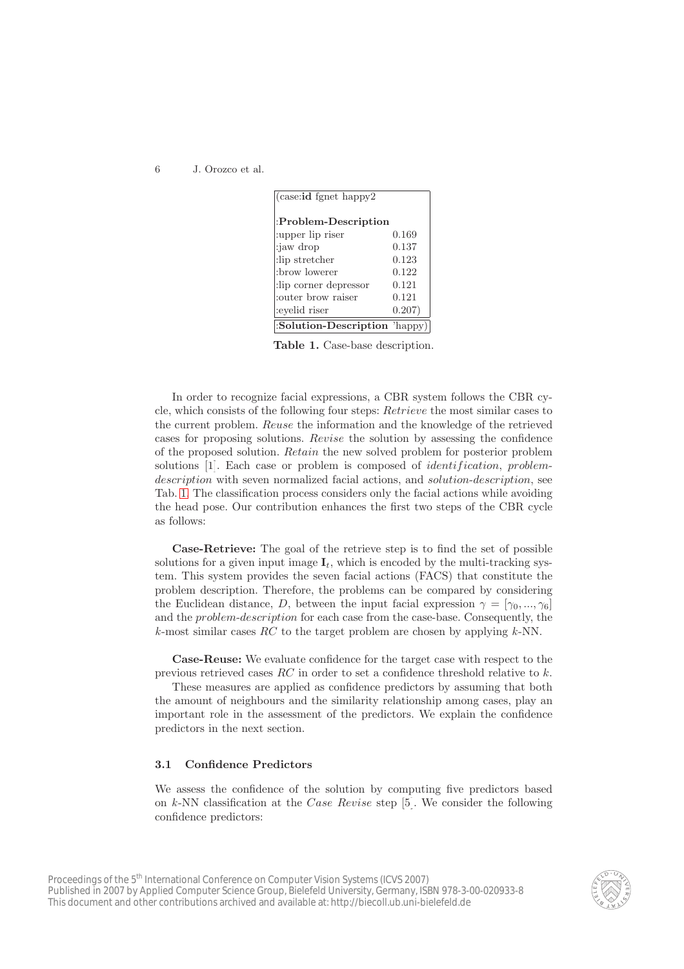<span id="page-5-1"></span>

| $(case: id \text{ fgnet happy2})$ |         |
|-----------------------------------|---------|
| :Problem-Description              |         |
| :upper lip riser                  | 0.169   |
| :jaw drop                         | 0.137   |
| :lip stretcher                    | 0.123   |
| :brow lowerer                     | 0.122   |
| :lip corner depressor             | 0.121   |
| couter brow raiser                | 0.121   |
| :eyelid riser                     | 0.207)  |
| :Solution-Description             | 'happy) |

<span id="page-5-0"></span>Table 1. Case-base description.

In order to recognize facial expressions, a CBR system follows the CBR cycle, which consists of the following four steps: Retrieve the most similar cases to the current problem. Reuse the information and the knowledge of the retrieved cases for proposing solutions. Revise the solution by assessing the confidence of the proposed solution. Retain the new solved problem for posterior problem solutions [\[1\]](#page-9-3). Each case or problem is composed of *identification*, *problem*description with seven normalized facial actions, and *solution-description*, see Tab. [1.](#page-5-0) The classification process considers only the facial actions while avoiding the head pose. Our contribution enhances the first two steps of the CBR cycle as follows:

Case-Retrieve: The goal of the retrieve step is to find the set of possible solutions for a given input image  $I_t$ , which is encoded by the multi-tracking system. This system provides the seven facial actions (FACS) that constitute the problem description. Therefore, the problems can be compared by considering the Euclidean distance, D, between the input facial expression  $\gamma = [\gamma_0, ..., \gamma_6]$ and the problem-description for each case from the case-base. Consequently, the  $k$ -most similar cases  $RC$  to the target problem are chosen by applying  $k$ -NN.

Case-Reuse: We evaluate confidence for the target case with respect to the previous retrieved cases  $RC$  in order to set a confidence threshold relative to  $k$ .

These measures are applied as confidence predictors by assuming that both the amount of neighbours and the similarity relationship among cases, play an important role in the assessment of the predictors. We explain the confidence predictors in the next section.

#### 3.1 Confidence Predictors

We assess the confidence of the solution by computing five predictors based on  $k$ -NN classification at the *Case Revise* step [\[5\]](#page-9-4). We consider the following confidence predictors:

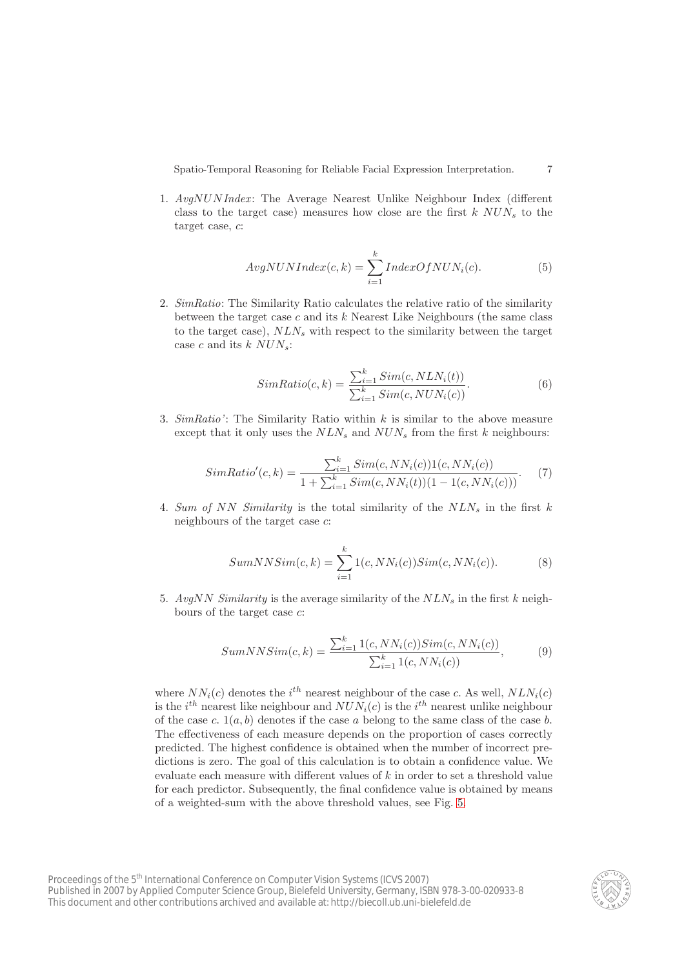Spatio-Temporal Reasoning for Reliable Facial Expression Interpretation.  $\qquad 7$ 

1.  $AvgNUMIndex$ : The Average Nearest Unlike Neighbour Index (different class to the target case) measures how close are the first  $k$   $NUN_s$  to the target case, c:

$$
AvgNUMIndex(c,k) = \sum_{i=1}^{k} IndexOfNUM_i(c).
$$
 (5)

2. SimRatio: The Similarity Ratio calculates the relative ratio of the similarity between the target case  $c$  and its  $k$  Nearest Like Neighbours (the same class to the target case),  $NLN_s$  with respect to the similarity between the target case c and its  $k$  NUN<sub>s</sub>:

$$
SimRatio(c, k) = \frac{\sum_{i=1}^{k} Sim(c, NLN_i(t))}{\sum_{i=1}^{k} Sim(c, NUN_i(c))}.
$$
\n
$$
(6)
$$

3.  $SimRatio$ : The Similarity Ratio within k is similar to the above measure except that it only uses the  $NLN_s$  and  $NUN_s$  from the first k neighbours:

$$
SimRatio'(c, k) = \frac{\sum_{i=1}^{k} Sim(c, NN_i(c))1(c, NN_i(c))}{1 + \sum_{i=1}^{k} Sim(c, NN_i(t))(1 - 1(c, NN_i(c)))}.
$$
 (7)

4. Sum of NN Similarity is the total similarity of the  $NLN_s$  in the first k neighbours of the target case c:

$$
SumNNSim(c, k) = \sum_{i=1}^{k} 1(c, NN_i(c))Sim(c, NN_i(c)).
$$
 (8)

5. AvgNN Similarity is the average similarity of the  $NLN<sub>s</sub>$  in the first k neighbours of the target case c:

$$
SumNNSim(c, k) = \frac{\sum_{i=1}^{k} 1(c, NN_i(c))Sim(c, NN_i(c))}{\sum_{i=1}^{k} 1(c, NN_i(c))},
$$
(9)

where  $NN_i(c)$  denotes the  $i^{th}$  nearest neighbour of the case c. As well,  $NLN_i(c)$ is the  $i^{th}$  nearest like neighbour and  $NUN_i(c)$  is the  $i^{th}$  nearest unlike neighbour of the case c.  $1(a, b)$  denotes if the case a belong to the same class of the case b. The effectiveness of each measure depends on the proportion of cases correctly predicted. The highest confidence is obtained when the number of incorrect predictions is zero. The goal of this calculation is to obtain a confidence value. We evaluate each measure with different values of  $k$  in order to set a threshold value for each predictor. Subsequently, the final confidence value is obtained by means of a weighted-sum with the above threshold values, see Fig. [5.](#page-7-0)

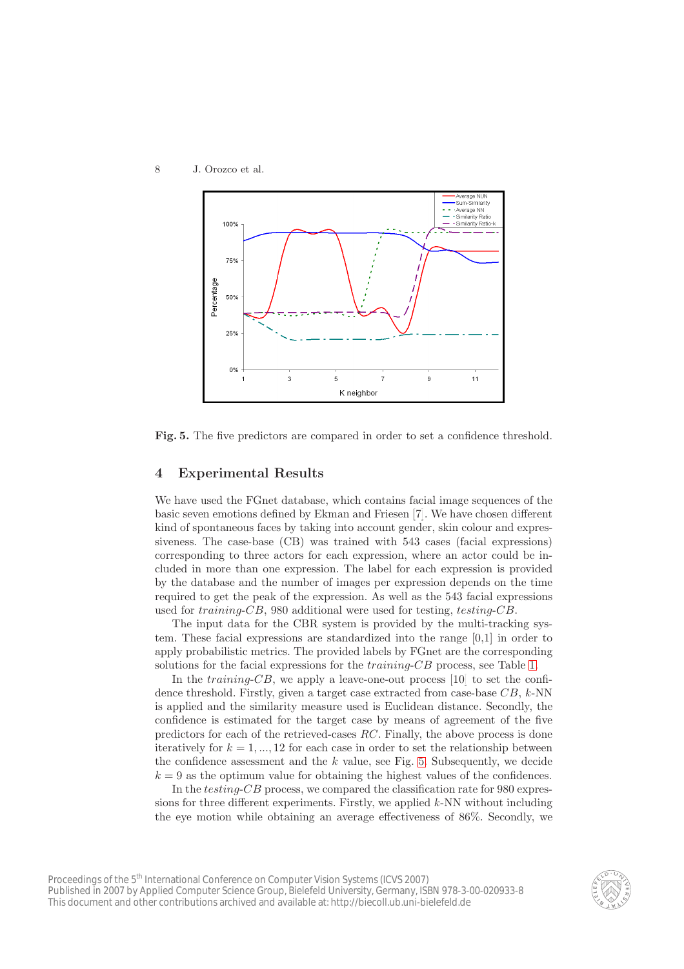<span id="page-7-1"></span>8 J. Orozco et al.



<span id="page-7-0"></span>Fig. 5. The five predictors are compared in order to set a confidence threshold.

## 4 Experimental Results

We have used the FGnet database, which contains facial image sequences of the basic seven emotions defined by Ekman and Friesen [\[7\]](#page-9-0). We have chosen different kind of spontaneous faces by taking into account gender, skin colour and expressiveness. The case-base (CB) was trained with 543 cases (facial expressions) corresponding to three actors for each expression, where an actor could be included in more than one expression. The label for each expression is provided by the database and the number of images per expression depends on the time required to get the peak of the expression. As well as the 543 facial expressions used for training-CB, 980 additional were used for testing, testing-CB.

The input data for the CBR system is provided by the multi-tracking system. These facial expressions are standardized into the range [0,1] in order to apply probabilistic metrics. The provided labels by FGnet are the corresponding solutions for the facial expressions for the *training-CB* process, see Table [1.](#page-5-0)

In the *training-CB*, we apply a leave-one-out process  $[10]$  to set the confidence threshold. Firstly, given a target case extracted from case-base  $CB, k\text{-NN}$ is applied and the similarity measure used is Euclidean distance. Secondly, the confidence is estimated for the target case by means of agreement of the five predictors for each of the retrieved-cases RC. Finally, the above process is done iteratively for  $k = 1, ..., 12$  for each case in order to set the relationship between the confidence assessment and the  $k$  value, see Fig. [5.](#page-7-0) Subsequently, we decide  $k = 9$  as the optimum value for obtaining the highest values of the confidences.

In the testing-CB process, we compared the classification rate for 980 expressions for three different experiments. Firstly, we applied k-NN without including the eye motion while obtaining an average effectiveness of 86%. Secondly, we

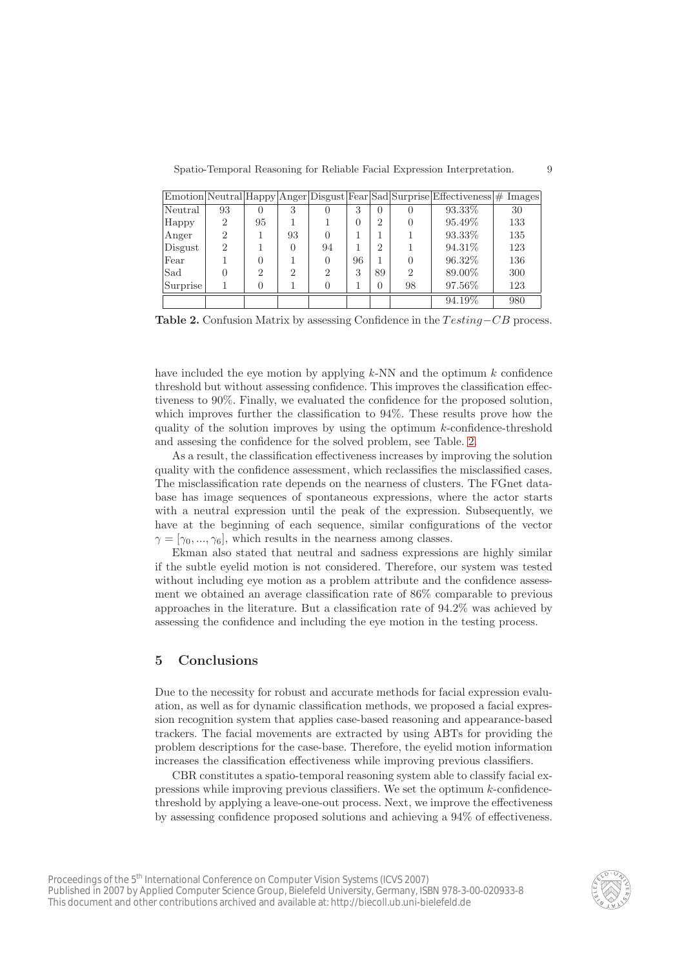Spatio-Temporal Reasoning for Reliable Facial Expression Interpretation. 9

|          |                             |    |                |    |    |               |                  | Emotion Neutral Happy Anger Disgust Fear Sad Surprise Effectiveness # Images |     |
|----------|-----------------------------|----|----------------|----|----|---------------|------------------|------------------------------------------------------------------------------|-----|
| Neutral  | 93                          | 0  | 3              |    | 3  | $\left($      | $\left( \right)$ | 93.33\%                                                                      | 30  |
| Happy    | $\mathfrak{D}$              | 95 |                |    | 0  | $\mathcal{D}$ |                  | 95.49%                                                                       | 133 |
| Anger    | $\overline{2}$              |    | 93             |    |    |               |                  | 93.33%                                                                       | 135 |
| Disgust  | $\mathcal{D}_{\mathcal{L}}$ |    | $\Omega$       | 94 |    | $\mathcal{D}$ |                  | 94.31\%                                                                      | 123 |
| Fear     |                             | 0  |                |    | 96 |               |                  | 96.32\%                                                                      | 136 |
| Sad      |                             | 2  | $\overline{2}$ | 2  | 3  | 89            | $\mathcal{D}$    | 89.00%                                                                       | 300 |
| Surprise |                             | 0  |                |    |    | 0             | 98               | 97.56%                                                                       | 123 |
|          |                             |    |                |    |    |               |                  | 94.19%                                                                       | 980 |

<span id="page-8-0"></span>Table 2. Confusion Matrix by assessing Confidence in the  $Testing$ – $CB$  process.

have included the eye motion by applying  $k$ -NN and the optimum  $k$  confidence threshold but without assessing confidence. This improves the classification effectiveness to 90%. Finally, we evaluated the confidence for the proposed solution, which improves further the classification to 94%. These results prove how the quality of the solution improves by using the optimum  $k$ -confidence-threshold and assesing the confidence for the solved problem, see Table. [2.](#page-8-0)

As a result, the classification effectiveness increases by improving the solution quality with the confidence assessment, which reclassifies the misclassified cases. The misclassification rate depends on the nearness of clusters. The FGnet database has image sequences of spontaneous expressions, where the actor starts with a neutral expression until the peak of the expression. Subsequently, we have at the beginning of each sequence, similar configurations of the vector  $\gamma = [\gamma_0, ..., \gamma_6]$ , which results in the nearness among classes.

Ekman also stated that neutral and sadness expressions are highly similar if the subtle eyelid motion is not considered. Therefore, our system was tested without including eye motion as a problem attribute and the confidence assessment we obtained an average classification rate of 86% comparable to previous approaches in the literature. But a classification rate of 94.2% was achieved by assessing the confidence and including the eye motion in the testing process.

## 5 Conclusions

Due to the necessity for robust and accurate methods for facial expression evaluation, as well as for dynamic classification methods, we proposed a facial expression recognition system that applies case-based reasoning and appearance-based trackers. The facial movements are extracted by using ABTs for providing the problem descriptions for the case-base. Therefore, the eyelid motion information increases the classification effectiveness while improving previous classifiers.

CBR constitutes a spatio-temporal reasoning system able to classify facial expressions while improving previous classifiers. We set the optimum  $k$ -confidencethreshold by applying a leave-one-out process. Next, we improve the effectiveness by assessing confidence proposed solutions and achieving a 94% of effectiveness.